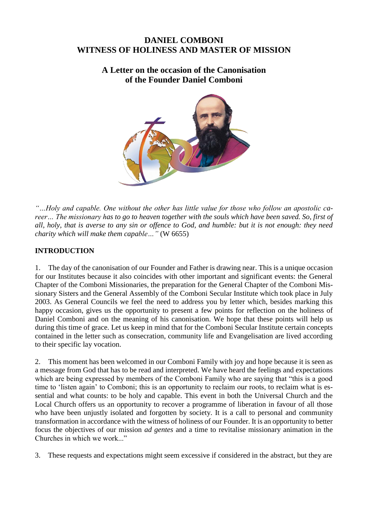# **DANIEL COMBONI WITNESS OF HOLINESS AND MASTER OF MISSION**

**A Letter on the occasion of the Canonisation of the Founder Daniel Comboni**



*"…Holy and capable. One without the other has little value for those who follow an apostolic career… The missionary has to go to heaven together with the souls which have been saved. So, first of all, holy, that is averse to any sin or offence to God, and humble: but it is not enough: they need charity which will make them capable…"* (W 6655)

## **INTRODUCTION**

1. The day of the canonisation of our Founder and Father is drawing near. This is a unique occasion for our Institutes because it also coincides with other important and significant events: the General Chapter of the Comboni Missionaries, the preparation for the General Chapter of the Comboni Missionary Sisters and the General Assembly of the Comboni Secular Institute which took place in July 2003. As General Councils we feel the need to address you by letter which, besides marking this happy occasion, gives us the opportunity to present a few points for reflection on the holiness of Daniel Comboni and on the meaning of his canonisation. We hope that these points will help us during this time of grace. Let us keep in mind that for the Comboni Secular Institute certain concepts contained in the letter such as consecration, community life and Evangelisation are lived according to their specific lay vocation.

2. This moment has been welcomed in our Comboni Family with joy and hope because it is seen as a message from God that has to be read and interpreted. We have heard the feelings and expectations which are being expressed by members of the Comboni Family who are saying that "this is a good time to 'listen again' to Comboni; this is an opportunity to reclaim our roots, to reclaim what is essential and what counts: to be holy and capable. This event in both the Universal Church and the Local Church offers us an opportunity to recover a programme of liberation in favour of all those who have been unjustly isolated and forgotten by society. It is a call to personal and community transformation in accordance with the witness of holiness of our Founder. It is an opportunity to better focus the objectives of our mission *ad gentes* and a time to revitalise missionary animation in the Churches in which we work..."

3. These requests and expectations might seem excessive if considered in the abstract, but they are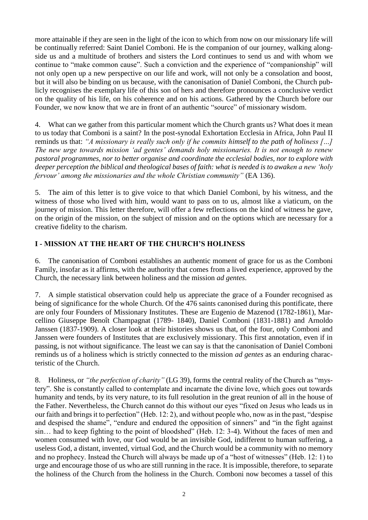more attainable if they are seen in the light of the icon to which from now on our missionary life will be continually referred: Saint Daniel Comboni. He is the companion of our journey, walking alongside us and a multitude of brothers and sisters the Lord continues to send us and with whom we continue to "make common cause". Such a conviction and the experience of "companionship" will not only open up a new perspective on our life and work, will not only be a consolation and boost, but it will also be binding on us because, with the canonisation of Daniel Comboni, the Church publicly recognises the exemplary life of this son of hers and therefore pronounces a conclusive verdict on the quality of his life, on his coherence and on his actions. Gathered by the Church before our Founder, we now know that we are in front of an authentic "source" of missionary wisdom.

4. What can we gather from this particular moment which the Church grants us? What does it mean to us today that Comboni is a saint? In the post-synodal Exhortation Ecclesia in Africa, John Paul II reminds us that: *"A missionary is really such only if he commits himself to the path of holiness […] The new urge towards mission 'ad gentes' demands holy missionaries. It is not enough to renew pastoral programmes, nor to better organise and coordinate the ecclesial bodies, nor to explore with deeper perception the biblical and theological bases of faith: what is needed is to awaken a new 'holy fervour' among the missionaries and the whole Christian community"* (EA 136).

5. The aim of this letter is to give voice to that which Daniel Comboni, by his witness, and the witness of those who lived with him, would want to pass on to us, almost like a viaticum, on the journey of mission. This letter therefore, will offer a few reflections on the kind of witness he gave, on the origin of the mission, on the subject of mission and on the options which are necessary for a creative fidelity to the charism.

## **I - MISSION AT THE HEART OF THE CHURCH'S HOLINESS**

6. The canonisation of Comboni establishes an authentic moment of grace for us as the Comboni Family, insofar as it affirms, with the authority that comes from a lived experience, approved by the Church, the necessary link between holiness and the mission *ad gentes*.

7. A simple statistical observation could help us appreciate the grace of a Founder recognised as being of significance for the whole Church. Of the 476 saints canonised during this pontificate, there are only four Founders of Missionary Institutes. These are Eugenio de Mazenod (1782-1861), Marcellino Giuseppe Benoît Champagnat (1789- 1840), Daniel Comboni (1831-1881) and Arnoldo Janssen (1837-1909). A closer look at their histories shows us that, of the four, only Comboni and Janssen were founders of Institutes that are exclusively missionary. This first annotation, even if in passing, is not without significance. The least we can say is that the canonisation of Daniel Comboni reminds us of a holiness which is strictly connected to the mission *ad gentes* as an enduring characteristic of the Church.

8. Holiness, or *"the perfection of charity"* (LG 39), forms the central reality of the Church as "mystery". She is constantly called to contemplate and incarnate the divine love, which goes out towards humanity and tends, by its very nature, to its full resolution in the great reunion of all in the house of the Father. Nevertheless, the Church cannot do this without our eyes "fixed on Jesus who leads us in our faith and brings it to perfection" (Heb. 12: 2), and without people who, now as in the past, "despise and despised the shame", "endure and endured the opposition of sinners" and "in the fight against sin… had to keep fighting to the point of bloodshed" (Heb. 12: 3-4). Without the faces of men and women consumed with love, our God would be an invisible God, indifferent to human suffering, a useless God, a distant, invented, virtual God, and the Church would be a community with no memory and no prophecy. Instead the Church will always be made up of a "host of witnesses" (Heb. 12: 1) to urge and encourage those of us who are still running in the race. It is impossible, therefore, to separate the holiness of the Church from the holiness in the Church. Comboni now becomes a tassel of this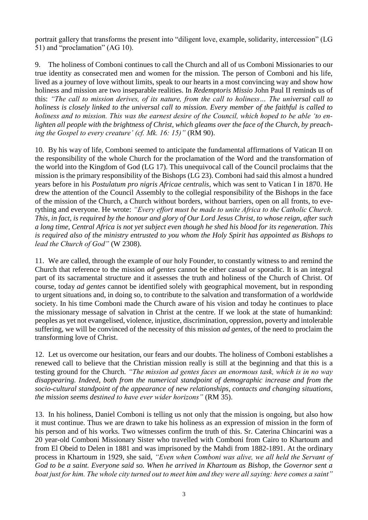portrait gallery that transforms the present into "diligent love, example, solidarity, intercession" (LG 51) and "proclamation" (AG 10).

9. The holiness of Comboni continues to call the Church and all of us Comboni Missionaries to our true identity as consecrated men and women for the mission. The person of Comboni and his life, lived as a journey of love without limits, speak to our hearts in a most convincing way and show how holiness and mission are two inseparable realities. In *Redemptoris Missio* John Paul II reminds us of this: *"The call to mission derives, of its nature, from the call to holiness… The universal call to holiness is closely linked to the universal call to mission. Every member of the faithful is called to holiness and to mission. This was the earnest desire of the Council, which hoped to be able 'to enlighten all people with the brightness of Christ, which gleams over the face of the Church, by preaching the Gospel to every creature' (cf. Mk. 16: 15)"* (RM 90).

10. By his way of life, Comboni seemed to anticipate the fundamental affirmations of Vatican II on the responsibility of the whole Church for the proclamation of the Word and the transformation of the world into the Kingdom of God (LG 17). This unequivocal call of the Council proclaims that the mission is the primary responsibility of the Bishops (LG 23). Comboni had said this almost a hundred years before in his *Postulatum pro nigris Africae centralis*, which was sent to Vatican I in 1870. He drew the attention of the Council Assembly to the collegial responsibility of the Bishops in the face of the mission of the Church, a Church without borders, without barriers, open on all fronts, to everything and everyone. He wrote: *"Every effort must be made to unite Africa to the Catholic Church. This, in fact, is required by the honour and glory of Our Lord Jesus Christ, to whose reign, after such a long time, Central Africa is not yet subject even though he shed his blood for its regeneration. This is required also of the ministry entrusted to you whom the Holy Spirit has appointed as Bishops to lead the Church of God"* (W 2308).

11. We are called, through the example of our holy Founder, to constantly witness to and remind the Church that reference to the mission *ad gentes* cannot be either casual or sporadic. It is an integral part of its sacramental structure and it assesses the truth and holiness of the Church of Christ. Of course, today *ad gentes* cannot be identified solely with geographical movement, but in responding to urgent situations and, in doing so, to contribute to the salvation and transformation of a worldwide society. In his time Comboni made the Church aware of his vision and today he continues to place the missionary message of salvation in Christ at the centre. If we look at the state of humankind: peoples as yet not evangelised, violence, injustice, discrimination, oppression, poverty and intolerable suffering, we will be convinced of the necessity of this mission *ad gentes*, of the need to proclaim the transforming love of Christ.

12. Let us overcome our hesitation, our fears and our doubts. The holiness of Comboni establishes a renewed call to believe that the Christian mission really is still at the beginning and that this is a testing ground for the Church. *"The mission ad gentes faces an enormous task, which is in no way disappearing. Indeed, both from the numerical standpoint of demographic increase and from the socio-cultural standpoint of the appearance of new relationships, contacts and changing situations, the mission seems destined to have ever wider horizons"* (RM 35).

13. In his holiness, Daniel Comboni is telling us not only that the mission is ongoing, but also how it must continue. Thus we are drawn to take his holiness as an expression of mission in the form of his person and of his works. Two witnesses confirm the truth of this. Sr. Caterina Chincarini was a 20 year-old Comboni Missionary Sister who travelled with Comboni from Cairo to Khartoum and from El Obeid to Delen in 1881 and was imprisoned by the Mahdi from 1882-1891. At the ordinary process in Khartoum in 1929, she said, *"Even when Comboni was alive, we all held the Servant of God to be a saint. Everyone said so. When he arrived in Khartoum as Bishop, the Governor sent a boat just for him. The whole city turned out to meet him and they were all saying: here comes a saint"*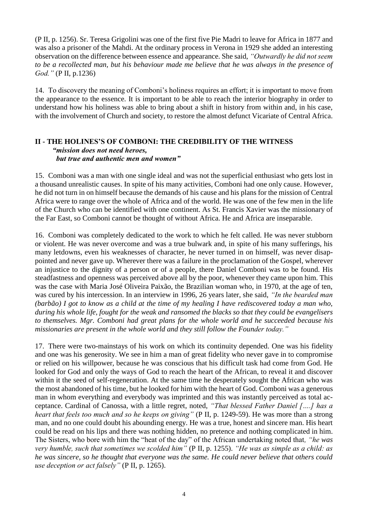(P II, p. 1256). Sr. Teresa Grigolini was one of the first five Pie Madri to leave for Africa in 1877 and was also a prisoner of the Mahdi. At the ordinary process in Verona in 1929 she added an interesting observation on the difference between essence and appearance. She said, *"Outwardly he did not seem to be a recollected man, but his behaviour made me believe that he was always in the presence of God."* (P II, p.1236)

14. To discovery the meaning of Comboni's holiness requires an effort; it is important to move from the appearance to the essence. It is important to be able to reach the interior biography in order to understand how his holiness was able to bring about a shift in history from within and, in his case, with the involvement of Church and society, to restore the almost defunct Vicariate of Central Africa.

#### **II - THE HOLINES'S OF COMBONI: THE CREDIBILITY OF THE WITNESS** *"mission does not need heroes, but true and authentic men and women"*

15. Comboni was a man with one single ideal and was not the superficial enthusiast who gets lost in a thousand unrealistic causes. In spite of his many activities, Comboni had one only cause. However, he did not turn in on himself because the demands of his cause and his plans for the mission of Central Africa were to range over the whole of Africa and of the world. He was one of the few men in the life of the Church who can be identified with one continent. As St. Francis Xavier was the missionary of the Far East, so Comboni cannot be thought of without Africa. He and Africa are inseparable.

16. Comboni was completely dedicated to the work to which he felt called. He was never stubborn or violent. He was never overcome and was a true bulwark and, in spite of his many sufferings, his many letdowns, even his weaknesses of character, he never turned in on himself, was never disappointed and never gave up. Wherever there was a failure in the proclamation of the Gospel, wherever an injustice to the dignity of a person or of a people, there Daniel Comboni was to be found. His steadfastness and openness was perceived above all by the poor, whenever they came upon him. This was the case with Maria José Oliveira Paixão, the Brazilian woman who, in 1970, at the age of ten, was cured by his intercession. In an interview in 1996, 26 years later, she said, *"In the bearded man (barbão) I got to know as a child at the time of my healing I have rediscovered today a man who, during his whole life, fought for the weak and ransomed the blacks so that they could be evangelisers to themselves. Mgr. Comboni had great plans for the whole world and he succeeded because his missionaries are present in the whole world and they still follow the Founder today."*

17. There were two-mainstays of his work on which its continuity depended. One was his fidelity and one was his generosity. We see in him a man of great fidelity who never gave in to compromise or relied on his willpower, because he was conscious that his difficult task had come from God. He looked for God and only the ways of God to reach the heart of the African, to reveal it and discover within it the seed of self-regeneration. At the same time he desperately sought the African who was the most abandoned of his time, but he looked for him with the heart of God. Comboni was a generous man in whom everything and everybody was imprinted and this was instantly perceived as total acceptance. Cardinal of Canossa, with a little regret, noted, *"That blessed Father Daniel [….] has a heart that feels too much and so he keeps on giving"* (P II, p. 1249-59). He was more than a strong man, and no one could doubt his abounding energy. He was a true, honest and sincere man. His heart could be read on his lips and there was nothing hidden, no pretence and nothing complicated in him. The Sisters, who bore with him the "heat of the day" of the African undertaking noted that*, "he was very humble, such that sometimes we scolded him"* (P II, p. 1255). *"He was as simple as a child: as he was sincere, so he thought that everyone was the same. He could never believe that others could use deception or act falsely"* (P II, p. 1265).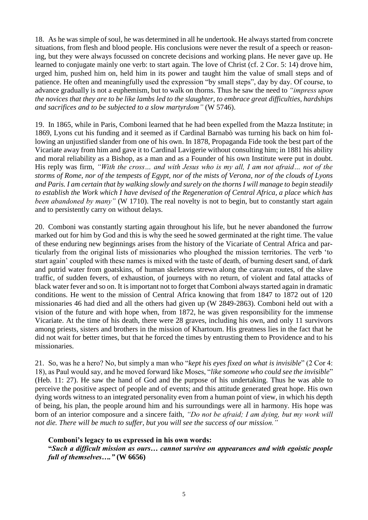18. As he was simple of soul, he was determined in all he undertook. He always started from concrete situations, from flesh and blood people. His conclusions were never the result of a speech or reasoning, but they were always focussed on concrete decisions and working plans. He never gave up. He learned to conjugate mainly one verb: to start again. The love of Christ (cf. 2 Cor. 5: 14) drove him, urged him, pushed him on, held him in its power and taught him the value of small steps and of patience. He often and meaningfully used the expression "by small steps", day by day. Of course, to advance gradually is not a euphemism, but to walk on thorns. Thus he saw the need to *"impress upon the novices that they are to be like lambs led to the slaughter, to embrace great difficulties, hardships and sacrifices and to be subjected to a slow martyrdom"* (W 5746).

19. In 1865, while in Paris, Comboni learned that he had been expelled from the Mazza Institute; in 1869, Lyons cut his funding and it seemed as if Cardinal Barnabò was turning his back on him following an unjustified slander from one of his own. In 1878, Propaganda Fide took the best part of the Vicariate away from him and gave it to Cardinal Lavigerie without consulting him; in 1881 his ability and moral reliability as a Bishop, as a man and as a Founder of his own Institute were put in doubt. His reply was firm, *"With the cross… and with Jesus who is my all, I am not afraid… not of the storms of Rome, nor of the tempests of Egypt, nor of the mists of Verona, nor of the clouds of Lyons and Paris. I am certain that by walking slowly and surely on the thorns I will manage to begin steadily to establish the Work which I have devised of the Regeneration of Central Africa, a place which has been abandoned by many*" (W 1710). The real novelty is not to begin, but to constantly start again and to persistently carry on without delays.

20. Comboni was constantly starting again throughout his life, but he never abandoned the furrow marked out for him by God and this is why the seed he sowed germinated at the right time. The value of these enduring new beginnings arises from the history of the Vicariate of Central Africa and particularly from the original lists of missionaries who ploughed the mission territories. The verb 'to start again' coupled with these names is mixed with the taste of death, of burning desert sand, of dark and putrid water from goatskins, of human skeletons strewn along the caravan routes, of the slave traffic, of sudden fevers, of exhaustion, of journeys with no return, of violent and fatal attacks of black water fever and so on. It is important not to forget that Comboni always started again in dramatic conditions. He went to the mission of Central Africa knowing that from 1847 to 1872 out of 120 missionaries 46 had died and all the others had given up (W 2849-2863). Comboni held out with a vision of the future and with hope when, from 1872, he was given responsibility for the immense Vicariate. At the time of his death, there were 28 graves, including his own, and only 11 survivors among priests, sisters and brothers in the mission of Khartoum. His greatness lies in the fact that he did not wait for better times, but that he forced the times by entrusting them to Providence and to his missionaries.

21. So, was he a hero? No, but simply a man who "*kept his eyes fixed on what is invisible*" (2 Cor 4: 18), as Paul would say, and he moved forward like Moses, "*like someone who could see the invisible*" (Heb. 11: 27). He saw the hand of God and the purpose of his undertaking. Thus he was able to perceive the positive aspect of people and of events; and this attitude generated great hope. His own dying words witness to an integrated personality even from a human point of view, in which his depth of being, his plan, the people around him and his surroundings were all in harmony. His hope was born of an interior composure and a sincere faith, *"Do not be afraid; I am dying, but my work will not die. There will be much to suffer, but you will see the success of our mission."*

#### **Comboni's legacy to us expressed in his own words:**

**"***Such a difficult mission as ours… cannot survive on appearances and with egoistic people full of themselves…."* **(W 6656)**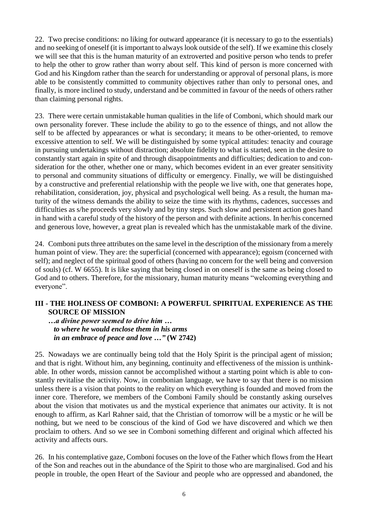22. Two precise conditions: no liking for outward appearance (it is necessary to go to the essentials) and no seeking of oneself (it is important to always look outside of the self). If we examine this closely we will see that this is the human maturity of an extroverted and positive person who tends to prefer to help the other to grow rather than worry about self. This kind of person is more concerned with God and his Kingdom rather than the search for understanding or approval of personal plans, is more able to be consistently committed to community objectives rather than only to personal ones, and finally, is more inclined to study, understand and be committed in favour of the needs of others rather than claiming personal rights.

23. There were certain unmistakable human qualities in the life of Comboni, which should mark our own personality forever. These include the ability to go to the essence of things, and not allow the self to be affected by appearances or what is secondary; it means to be other-oriented, to remove excessive attention to self. We will be distinguished by some typical attitudes: tenacity and courage in pursuing undertakings without distraction; absolute fidelity to what is started, seen in the desire to constantly start again in spite of and through disappointments and difficulties; dedication to and consideration for the other, whether one or many, which becomes evident in an ever greater sensitivity to personal and community situations of difficulty or emergency. Finally, we will be distinguished by a constructive and preferential relationship with the people we live with, one that generates hope, rehabilitation, consideration, joy, physical and psychological well being. As a result, the human maturity of the witness demands the ability to seize the time with its rhythms, cadences, successes and difficulties as s/he proceeds very slowly and by tiny steps. Such slow and persistent action goes hand in hand with a careful study of the history of the person and with definite actions. In her/his concerned and generous love, however, a great plan is revealed which has the unmistakable mark of the divine.

24. Comboni puts three attributes on the same level in the description of the missionary from a merely human point of view. They are: the superficial (concerned with appearance); egoism (concerned with self); and neglect of the spiritual good of others (having no concern for the well being and conversion of souls) (cf. W 6655). It is like saying that being closed in on oneself is the same as being closed to God and to others. Therefore, for the missionary, human maturity means "welcoming everything and everyone".

### **III - THE HOLINESS OF COMBONI: A POWERFUL SPIRITUAL EXPERIENCE AS THE SOURCE OF MISSION**

*…a divine power seemed to drive him … to where he would enclose them in his arms in an embrace of peace and love …"* **(W 2742)**

25. Nowadays we are continually being told that the Holy Spirit is the principal agent of mission; and that is right. Without him, any beginning, continuity and effectiveness of the mission is unthinkable. In other words, mission cannot be accomplished without a starting point which is able to constantly revitalise the activity. Now, in combonian language, we have to say that there is no mission unless there is a vision that points to the reality on which everything is founded and moved from the inner core. Therefore, we members of the Comboni Family should be constantly asking ourselves about the vision that motivates us and the mystical experience that animates our activity. It is not enough to affirm, as Karl Rahner said, that the Christian of tomorrow will be a mystic or he will be nothing, but we need to be conscious of the kind of God we have discovered and which we then proclaim to others. And so we see in Comboni something different and original which affected his activity and affects ours.

26. In his contemplative gaze, Comboni focuses on the love of the Father which flows from the Heart of the Son and reaches out in the abundance of the Spirit to those who are marginalised. God and his people in trouble, the open Heart of the Saviour and people who are oppressed and abandoned, the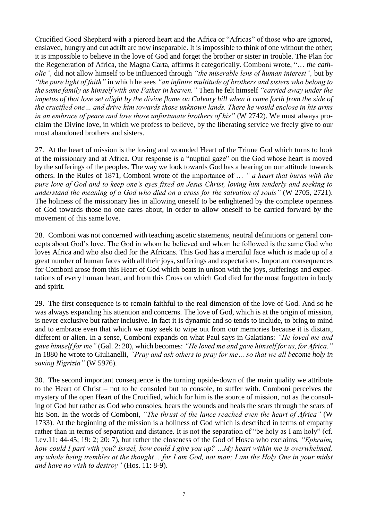Crucified Good Shepherd with a pierced heart and the Africa or "Africas" of those who are ignored, enslaved, hungry and cut adrift are now inseparable. It is impossible to think of one without the other; it is impossible to believe in the love of God and forget the brother or sister in trouble. The Plan for the Regeneration of Africa, the Magna Carta, affirms it categorically. Comboni wrote, "… *the catholic",* did not allow himself to be influenced through *"the miserable lens of human interest",* but by *"the pure light of faith"* in which he sees *"an infinite multitude of brothers and sisters who belong to the same family as himself with one Father in heaven."* Then he felt himself *"carried away under the impetus of that love set alight by the divine flame on Calvary hill when it came forth from the side of the crucified one… and drive him towards those unknown lands. There he would enclose in his arms in an embrace of peace and love those unfortunate brothers of his"* (W 2742). We must always proclaim the Divine love, in which we profess to believe, by the liberating service we freely give to our most abandoned brothers and sisters.

27. At the heart of mission is the loving and wounded Heart of the Triune God which turns to look at the missionary and at Africa. Our response is a "nuptial gaze" on the God whose heart is moved by the sufferings of the peoples. The way we look towards God has a bearing on our attitude towards others. In the Rules of 1871, Comboni wrote of the importance of … *" a heart that burns with the pure love of God and to keep one's eyes fixed on Jesus Christ, loving him tenderly and seeking to understand the meaning of a God who died on a cross for the salvation of souls"* (W 2705, 2721). The holiness of the missionary lies in allowing oneself to be enlightened by the complete openness of God towards those no one cares about, in order to allow oneself to be carried forward by the movement of this same love.

28. Comboni was not concerned with teaching ascetic statements, neutral definitions or general concepts about God's love. The God in whom he believed and whom he followed is the same God who loves Africa and who also died for the Africans. This God has a merciful face which is made up of a great number of human faces with all their joys, sufferings and expectations. Important consequences for Comboni arose from this Heart of God which beats in unison with the joys, sufferings and expectations of every human heart, and from this Cross on which God died for the most forgotten in body and spirit.

29. The first consequence is to remain faithful to the real dimension of the love of God. And so he was always expanding his attention and concerns. The love of God, which is at the origin of mission, is never exclusive but rather inclusive. In fact it is dynamic and so tends to include, to bring to mind and to embrace even that which we may seek to wipe out from our memories because it is distant, different or alien. In a sense, Comboni expands on what Paul says in Galatians: *"He loved me and gave himself for me"* (Gal. 2: 20), which becomes: *"He loved me and gave himself for us, for Africa."* In 1880 he wrote to Giulianelli, *"Pray and ask others to pray for me… so that we all become holy in saving Nigrizia"* (W 5976).

30. The second important consequence is the turning upside-down of the main quality we attribute to the Heart of Christ – not to be consoled but to console, to suffer with. Comboni perceives the mystery of the open Heart of the Crucified, which for him is the source of mission, not as the consoling of God but rather as God who consoles, bears the wounds and heals the scars through the scars of his Son. In the words of Comboni, *"The thrust of the lance reached even the heart of Africa"* (W 1733). At the beginning of the mission is a holiness of God which is described in terms of empathy rather than in terms of separation and distance. It is not the separation of "be holy as I am holy" (cf. Lev.11: 44-45; 19: 2; 20: 7), but rather the closeness of the God of Hosea who exclaims, *"Ephraim, how could I part with you? Israel, how could I give you up? …My heart within me is overwhelmed, my whole being trembles at the thought… for I am God, not man; I am the Holy One in your midst and have no wish to destroy"* (Hos. 11: 8-9).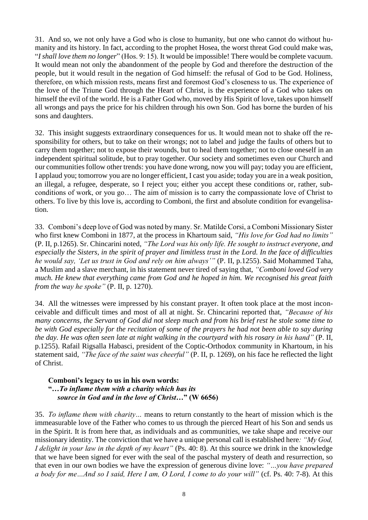31. And so, we not only have a God who is close to humanity, but one who cannot do without humanity and its history. In fact, according to the prophet Hosea, the worst threat God could make was, "*I shall love them no longer*" (Hos. 9: 15). It would be impossible! There would be complete vacuum. It would mean not only the abandonment of the people by God and therefore the destruction of the people, but it would result in the negation of God himself: the refusal of God to be God. Holiness, therefore, on which mission rests, means first and foremost God's closeness to us. The experience of the love of the Triune God through the Heart of Christ, is the experience of a God who takes on himself the evil of the world. He is a Father God who, moved by His Spirit of love, takes upon himself all wrongs and pays the price for his children through his own Son. God has borne the burden of his sons and daughters.

32. This insight suggests extraordinary consequences for us. It would mean not to shake off the responsibility for others, but to take on their wrongs; not to label and judge the faults of others but to carry them together; not to expose their wounds, but to heal them together; not to close oneself in an independent spiritual solitude, but to pray together. Our society and sometimes even our Church and our communities follow other trends: you have done wrong, now you will pay; today you are efficient, I applaud you; tomorrow you are no longer efficient, I cast you aside; today you are in a weak position, an illegal, a refugee, desperate, so I reject you; either you accept these conditions or, rather, subconditions of work, or you go… The aim of mission is to carry the compassionate love of Christ to others. To live by this love is, according to Comboni, the first and absolute condition for evangelisation.

33. Comboni's deep love of God was noted by many. Sr. Matilde Corsi, a Comboni Missionary Sister who first knew Comboni in 1877, at the process in Khartoum said, *"His love for God had no limits"* (P. II, p.1265). Sr. Chincarini noted, *"The Lord was his only life. He sought to instruct everyone, and especially the Sisters, in the spirit of prayer and limitless trust in the Lord. In the face of difficulties he would say, 'Let us trust in God and rely on him always'"* (P. II, p.1255). Said Mohammed Taha, a Muslim and a slave merchant, in his statement never tired of saying that, *"Comboni loved God very much. He knew that everything came from God and he hoped in him. We recognised his great faith from the way he spoke"* (P. II, p. 1270).

34. All the witnesses were impressed by his constant prayer. It often took place at the most inconceivable and difficult times and most of all at night. Sr. Chincarini reported that, *"Because of his many concerns, the Servant of God did not sleep much and from his brief rest he stole some time to be with God especially for the recitation of some of the prayers he had not been able to say during the day. He was often seen late at night walking in the courtyard with his rosary in his hand"* (P. II, p.1255). Rafail Rigsalla Habasci, president of the Coptic-Orthodox community in Khartoum, in his statement said, *"The face of the saint was cheerful"* (P. II, p. 1269), on his face he reflected the light of Christ.

#### **Comboni's legacy to us in his own words: "***…To inflame them with a charity which has its source in God and in the love of Christ…***" (W 6656)**

35. *To inflame them with charity…* means to return constantly to the heart of mission which is the immeasurable love of the Father who comes to us through the pierced Heart of his Son and sends us in the Spirit. It is from here that, as individuals and as communities, we take shape and receive our missionary identity. The conviction that we have a unique personal call is established here*: "My God, I delight in your law in the depth of my heart"* (Ps. 40: 8). At this source we drink in the knowledge that we have been signed for ever with the seal of the paschal mystery of death and resurrection, so that even in our own bodies we have the expression of generous divine love: *"…you have prepared a body for me…And so I said, Here I am, O Lord, I come to do your will"* (cf. Ps. 40: 7-8). At this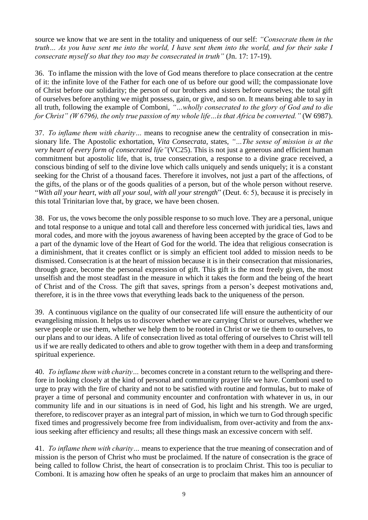source we know that we are sent in the totality and uniqueness of our self: *"Consecrate them in the truth… As you have sent me into the world, I have sent them into the world, and for their sake I consecrate myself so that they too may be consecrated in truth"* (Jn. 17: 17-19).

36. To inflame the mission with the love of God means therefore to place consecration at the centre of it: the infinite love of the Father for each one of us before our good will; the compassionate love of Christ before our solidarity; the person of our brothers and sisters before ourselves; the total gift of ourselves before anything we might possess, gain, or give, and so on. It means being able to say in all truth, following the example of Comboni, *"…wholly consecrated to the glory of God and to die for Christ" (W 6796), the only true passion of my whole life…is that Africa be converted."* (W 6987).

37. *To inflame them with charity…* means to recognise anew the centrality of consecration in missionary life. The Apostolic exhortation, *Vita Consecrata*, states, *"…The sense of mission is at the very heart of every form of consecrated life"*(VC25). This is not just a generous and efficient human commitment but apostolic life, that is, true consecration, a response to a divine grace received, a conscious binding of self to the divine love which calls uniquely and sends uniquely; it is a constant seeking for the Christ of a thousand faces. Therefore it involves, not just a part of the affections, of the gifts, of the plans or of the goods qualities of a person, but of the whole person without reserve. "*With all your heart, with all your soul, with all your strength*" (Deut. 6: 5), because it is precisely in this total Trinitarian love that, by grace, we have been chosen.

38. For us, the vows become the only possible response to so much love. They are a personal, unique and total response to a unique and total call and therefore less concerned with juridical ties, laws and moral codes, and more with the joyous awareness of having been accepted by the grace of God to be a part of the dynamic love of the Heart of God for the world. The idea that religious consecration is a diminishment, that it creates conflict or is simply an efficient tool added to mission needs to be dismissed. Consecration is at the heart of mission because it is in their consecration that missionaries, through grace, become the personal expression of gift. This gift is the most freely given, the most unselfish and the most steadfast in the measure in which it takes the form and the being of the heart of Christ and of the Cross. The gift that saves, springs from a person's deepest motivations and, therefore, it is in the three vows that everything leads back to the uniqueness of the person.

39. A continuous vigilance on the quality of our consecrated life will ensure the authenticity of our evangelising mission. It helps us to discover whether we are carrying Christ or ourselves, whether we serve people or use them, whether we help them to be rooted in Christ or we tie them to ourselves, to our plans and to our ideas. A life of consecration lived as total offering of ourselves to Christ will tell us if we are really dedicated to others and able to grow together with them in a deep and transforming spiritual experience.

40. *To inflame them with charity…* becomes concrete in a constant return to the wellspring and therefore in looking closely at the kind of personal and community prayer life we have. Comboni used to urge to pray with the fire of charity and not to be satisfied with routine and formulas, but to make of prayer a time of personal and community encounter and confrontation with whatever in us, in our community life and in our situations is in need of God, his light and his strength. We are urged, therefore, to rediscover prayer as an integral part of mission, in which we turn to God through specific fixed times and progressively become free from individualism, from over-activity and from the anxious seeking after efficiency and results; all these things mask an excessive concern with self.

41. *To inflame them with charity…* means to experience that the true meaning of consecration and of mission is the person of Christ who must be proclaimed. If the nature of consecration is the grace of being called to follow Christ, the heart of consecration is to proclaim Christ. This too is peculiar to Comboni. It is amazing how often he speaks of an urge to proclaim that makes him an announcer of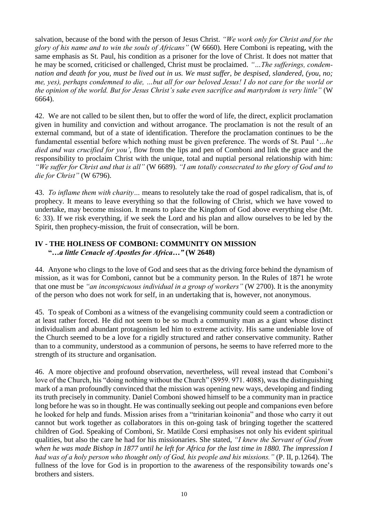salvation, because of the bond with the person of Jesus Christ. *"We work only for Christ and for the glory of his name and to win the souls of Africans"* (W 6660). Here Comboni is repeating, with the same emphasis as St. Paul, his condition as a prisoner for the love of Christ. It does not matter that he may be scorned, criticised or challenged, Christ must be proclaimed. *"…The sufferings, condemnation and death for you, must be lived out in us. We must suffer, be despised, slandered, (you, no; me, yes), perhaps condemned to die, …but all for our beloved Jesus! I do not care for the world or the opinion of the world. But for Jesus Christ's sake even sacrifice and martyrdom is very little"* (W 6664).

42. We are not called to be silent then, but to offer the word of life, the direct, explicit proclamation given in humility and conviction and without arrogance. The proclamation is not the result of an external command, but of a state of identification. Therefore the proclamation continues to be the fundamental essential before which nothing must be given preference. The words of St. Paul '*…he died and was crucified for you'*, flow from the lips and pen of Comboni and link the grace and the responsibility to proclaim Christ with the unique, total and nuptial personal relationship with him: *"We suffer for Christ and that is all"* (W 6689). *"I am totally consecrated to the glory of God and to die for Christ"* (W 6796).

43. *To inflame them with charity…* means to resolutely take the road of gospel radicalism, that is, of prophecy. It means to leave everything so that the following of Christ, which we have vowed to undertake, may become mission. It means to place the Kingdom of God above everything else (Mt. 6: 33). If we risk everything, if we seek the Lord and his plan and allow ourselves to be led by the Spirit, then prophecy-mission, the fruit of consecration, will be born.

## **IV - THE HOLINESS OF COMBONI: COMMUNITY ON MISSION "***…a little Cenacle of Apostles for Africa…"* **(W 2648)**

44. Anyone who clings to the love of God and sees that as the driving force behind the dynamism of mission, as it was for Comboni, cannot but be a community person. In the Rules of 1871 he wrote that one must be *"an inconspicuous individual in a group of workers"* (W 2700). It is the anonymity of the person who does not work for self, in an undertaking that is, however, not anonymous.

45. To speak of Comboni as a witness of the evangelising community could seem a contradiction or at least rather forced. He did not seem to be so much a community man as a giant whose distinct individualism and abundant protagonism led him to extreme activity. His same undeniable love of the Church seemed to be a love for a rigidly structured and rather conservative community. Rather than to a community, understood as a communion of persons, he seems to have referred more to the strength of its structure and organisation.

46. A more objective and profound observation, nevertheless, will reveal instead that Comboni's love of the Church, his "doing nothing without the Church" (S959. 971. 4088), was the distinguishing mark of a man profoundly convinced that the mission was opening new ways, developing and finding its truth precisely in community. Daniel Comboni showed himself to be a community man in practice long before he was so in thought. He was continually seeking out people and companions even before he looked for help and funds. Mission arises from a "trinitarian koinonia" and those who carry it out cannot but work together as collaborators in this on-going task of bringing together the scattered children of God. Speaking of Comboni, Sr. Matilde Corsi emphasises not only his evident spiritual qualities, but also the care he had for his missionaries. She stated, *"I knew the Servant of God from when he was made Bishop in 1877 until he left for Africa for the last time in 1880. The impression I had was of a holy person who thought only of God, his people and his missions."* (P. II, p.1264). The fullness of the love for God is in proportion to the awareness of the responsibility towards one's brothers and sisters.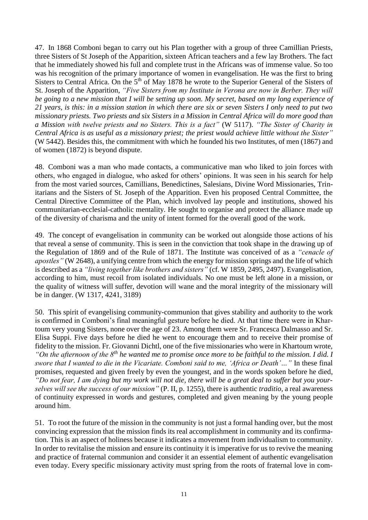47. In 1868 Comboni began to carry out his Plan together with a group of three Camillian Priests, three Sisters of St Joseph of the Apparition, sixteen African teachers and a few lay Brothers. The fact that he immediately showed his full and complete trust in the Africans was of immense value. So too was his recognition of the primary importance of women in evangelisation. He was the first to bring Sisters to Central Africa. On the  $5<sup>th</sup>$  of May 1878 he wrote to the Superior General of the Sisters of St. Joseph of the Apparition, *"Five Sisters from my Institute in Verona are now in Berber. They will be going to a new mission that I will be setting up soon. My secret, based on my long experience of 21 years, is this: in a mission station in which there are six or seven Sisters I only need to put two missionary priests. Two priests and six Sisters in a Mission in Central Africa will do more good than a Mission with twelve priests and no Sisters. This is a fact"* (W 5117). *"The Sister of Charity in Central Africa is as useful as a missionary priest; the priest would achieve little without the Sister"* (W 5442). Besides this, the commitment with which he founded his two Institutes, of men (1867) and of women (1872) is beyond dispute.

48. Comboni was a man who made contacts, a communicative man who liked to join forces with others, who engaged in dialogue, who asked for others' opinions. It was seen in his search for help from the most varied sources, Camillians, Benedictines, Salesians, Divine Word Missionaries, Trinitarians and the Sisters of St. Joseph of the Apparition. Even his proposed Central Committee, the Central Directive Committee of the Plan, which involved lay people and institutions, showed his communitarian-ecclesial-catholic mentality. He sought to organise and protect the alliance made up of the diversity of charisma and the unity of intent formed for the overall good of the work.

49. The concept of evangelisation in community can be worked out alongside those actions of his that reveal a sense of community. This is seen in the conviction that took shape in the drawing up of the Regulation of 1869 and of the Rule of 1871. The Institute was conceived of as a *"cenacle of apostles"* (W 2648), a unifying centre from which the energy for mission springs and the life of which is described as a *"living together like brothers and sisters"* (cf. W 1859, 2495, 2497). Evangelisation, according to him, must recoil from isolated individuals. No one must be left alone in a mission, or the quality of witness will suffer, devotion will wane and the moral integrity of the missionary will be in danger. (W 1317, 4241, 3189)

50. This spirit of evangelising community-communion that gives stability and authority to the work is confirmed in Comboni's final meaningful gesture before he died. At that time there were in Khartoum very young Sisters, none over the age of 23. Among them were Sr. Francesca Dalmasso and Sr. Elisa Suppi. Five days before he died he went to encourage them and to receive their promise of fidelity to the mission. Fr. Giovanni Dichtl, one of the five missionaries who were in Khartoum wrote, *"On the afternoon of the 8th he wanted me to promise once more to be faithful to the mission. I did. I swore that I wanted to die in the Vicariate. Comboni said to me, 'Africa or Death'…"* In these final promises, requested and given freely by even the youngest, and in the words spoken before he died, *"Do not fear, I am dying but my work will not die, there will be a great deal to suffer but you yourselves will see the success of our mission"* (P. II, p. 1255), there is authentic *traditio,* a real awareness

of continuity expressed in words and gestures, completed and given meaning by the young people around him.

51. To root the future of the mission in the community is not just a formal handing over, but the most convincing expression that the mission finds its real accomplishment in community and its confirmation. This is an aspect of holiness because it indicates a movement from individualism to community. In order to revitalise the mission and ensure its continuity it is imperative for us to revive the meaning and practice of fraternal communion and consider it an essential element of authentic evangelisation even today. Every specific missionary activity must spring from the roots of fraternal love in com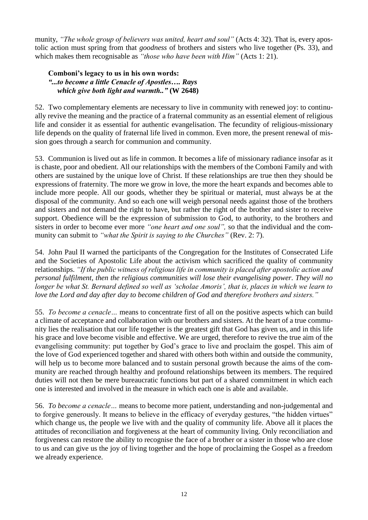munity, *"The whole group of believers was united, heart and soul"* (Acts 4: 32). That is, every apostolic action must spring from that *goodness* of brothers and sisters who live together (Ps. 33), and which makes them recognisable as *"those who have been with Him"* (Acts 1: 21).

### **Comboni's legacy to us in his own words:** *"...to become a little Cenacle of Apostles…. Rays which give both light and warmth.."* **(W 2648)**

52. Two complementary elements are necessary to live in community with renewed joy: to continually revive the meaning and the practice of a fraternal community as an essential element of religious life and consider it as essential for authentic evangelisation. The fecundity of religious-missionary life depends on the quality of fraternal life lived in common. Even more, the present renewal of mission goes through a search for communion and community.

53. Communion is lived out as life in common. It becomes a life of missionary radiance insofar as it is chaste, poor and obedient. All our relationships with the members of the Comboni Family and with others are sustained by the unique love of Christ. If these relationships are true then they should be expressions of fraternity. The more we grow in love, the more the heart expands and becomes able to include more people. All our goods, whether they be spiritual or material, must always be at the disposal of the community. And so each one will weigh personal needs against those of the brothers and sisters and not demand the right to have, but rather the right of the brother and sister to receive support. Obedience will be the expression of submission to God, to authority, to the brothers and sisters in order to become ever more *"one heart and one soul",* so that the individual and the community can submit to *"what the Spirit is saying to the Churches"* (Rev. 2: 7).

54. John Paul II warned the participants of the Congregation for the Institutes of Consecrated Life and the Societies of Apostolic Life about the activism which sacrificed the quality of community relationships. *"If the public witness of religious life in community is placed after apostolic action and personal fulfilment, then the religious communities will lose their evangelising power. They will no longer be what St. Bernard defined so well as 'scholae Amoris', that is, places in which we learn to love the Lord and day after day to become children of God and therefore brothers and sisters."*

55. *To become a cenacle…* means to concentrate first of all on the positive aspects which can build a climate of acceptance and collaboration with our brothers and sisters. At the heart of a true community lies the realisation that our life together is the greatest gift that God has given us, and in this life his grace and love become visible and effective. We are urged, therefore to revive the true aim of the evangelising community: put together by God's grace to live and proclaim the gospel. This aim of the love of God experienced together and shared with others both within and outside the community, will help us to become more balanced and to sustain personal growth because the aims of the community are reached through healthy and profound relationships between its members. The required duties will not then be mere bureaucratic functions but part of a shared commitment in which each one is interested and involved in the measure in which each one is able and available.

56. *To become a cenacle…* means to become more patient, understanding and non-judgemental and to forgive generously. It means to believe in the efficacy of everyday gestures, "the hidden virtues" which change us, the people we live with and the quality of community life. Above all it places the attitudes of reconciliation and forgiveness at the heart of community living. Only reconciliation and forgiveness can restore the ability to recognise the face of a brother or a sister in those who are close to us and can give us the joy of living together and the hope of proclaiming the Gospel as a freedom we already experience.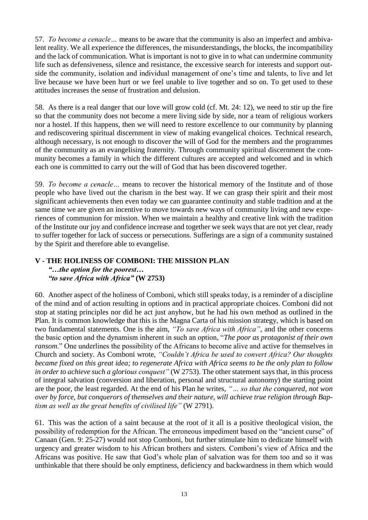57. *To become a cenacle…* means to be aware that the community is also an imperfect and ambivalent reality. We all experience the differences, the misunderstandings, the blocks, the incompatibility and the lack of communication. What is important is not to give in to what can undermine community life such as defensiveness, silence and resistance, the excessive search for interests and support outside the community, isolation and individual management of one's time and talents, to live and let live because we have been hurt or we feel unable to live together and so on. To get used to these attitudes increases the sense of frustration and delusion.

58. As there is a real danger that our love will grow cold (cf. Mt. 24: 12), we need to stir up the fire so that the community does not become a mere living side by side, nor a team of religious workers nor a hostel. If this happens, then we will need to restore excellence to our community by planning and rediscovering spiritual discernment in view of making evangelical choices. Technical research, although necessary, is not enough to discover the will of God for the members and the programmes of the community as an evangelising fraternity. Through community spiritual discernment the community becomes a family in which the different cultures are accepted and welcomed and in which each one is committed to carry out the will of God that has been discovered together.

59. *To become a cenacle…* means to recover the historical memory of the Institute and of those people who have lived out the charism in the best way. If we can grasp their spirit and their most significant achievements then even today we can guarantee continuity and stable tradition and at the same time we are given an incentive to move towards new ways of community living and new experiences of communion for mission. When we maintain a healthy and creative link with the tradition of the Institute our joy and confidence increase and together we seek ways that are not yet clear, ready to suffer together for lack of success or persecutions. Sufferings are a sign of a community sustained by the Spirit and therefore able to evangelise.

### **V - THE HOLINESS OF COMBONI: THE MISSION PLAN** *"…the option for the poorest… "to save Africa with Africa"* **(W 2753)**

60. Another aspect of the holiness of Comboni, which still speaks today, is a reminder of a discipline of the mind and of action resulting in options and in practical appropriate choices. Comboni did not stop at stating principles nor did he act just anyhow, but he had his own method as outlined in the Plan. It is common knowledge that this is the Magna Carta of his mission strategy, which is based on two fundamental statements. One is the aim, *"To save Africa with Africa"*, and the other concerns the basic option and the dynamism inherent in such an option, "*The poor as protagonist of their own ransom.*" One underlines the possibility of the Africans to become alive and active for themselves in Church and society. As Comboni wrote, *"Couldn't Africa be used to convert Africa? Our thoughts became fixed on this great idea; to regenerate Africa with Africa seems to be the only plan to follow in order to achieve such a glorious conquest"* (W 2753). The other statement says that, in this process of integral salvation (conversion and liberation, personal and structural autonomy) the starting point are the poor, the least regarded. At the end of his Plan he writes, *"… so that the conquered, not won over by force, but conquerors of themselves and their nature, will achieve true religion through Baptism as well as the great benefits of civilised life"* (W 2791).

61. This was the action of a saint because at the root of it all is a positive theological vision, the possibility of redemption for the African. The erroneous impediment based on the "ancient curse" of Canaan (Gen. 9: 25-27) would not stop Comboni, but further stimulate him to dedicate himself with urgency and greater wisdom to his African brothers and sisters. Comboni's view of Africa and the Africans was positive. He saw that God's whole plan of salvation was for them too and so it was unthinkable that there should be only emptiness, deficiency and backwardness in them which would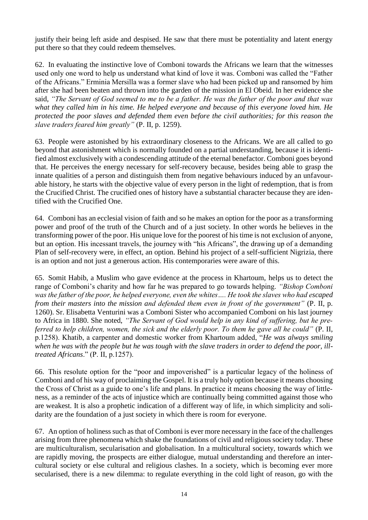justify their being left aside and despised. He saw that there must be potentiality and latent energy put there so that they could redeem themselves.

62. In evaluating the instinctive love of Comboni towards the Africans we learn that the witnesses used only one word to help us understand what kind of love it was. Comboni was called the "Father of the Africans." Erminia Mersilla was a former slave who had been picked up and ransomed by him after she had been beaten and thrown into the garden of the mission in El Obeid. In her evidence she said, *"The Servant of God seemed to me to be a father. He was the father of the poor and that was what they called him in his time. He helped everyone and because of this everyone loved him. He protected the poor slaves and defended them even before the civil authorities; for this reason the slave traders feared him greatly"* (P. II, p. 1259).

63. People were astonished by his extraordinary closeness to the Africans. We are all called to go beyond that astonishment which is normally founded on a partial understanding, because it is identified almost exclusively with a condescending attitude of the eternal benefactor. Comboni goes beyond that. He perceives the energy necessary for self-recovery because, besides being able to grasp the innate qualities of a person and distinguish them from negative behaviours induced by an unfavourable history, he starts with the objective value of every person in the light of redemption, that is from the Crucified Christ. The crucified ones of history have a substantial character because they are identified with the Crucified One.

64. Comboni has an ecclesial vision of faith and so he makes an option for the poor as a transforming power and proof of the truth of the Church and of a just society. In other words he believes in the transforming power of the poor. His unique love for the poorest of his time is not exclusion of anyone, but an option. His incessant travels, the journey with "his Africans", the drawing up of a demanding Plan of self-recovery were, in effect, an option. Behind his project of a self-sufficient Nigrizia, there is an option and not just a generous action. His contemporaries were aware of this.

65. Somit Habib, a Muslim who gave evidence at the process in Khartoum, helps us to detect the range of Comboni's charity and how far he was prepared to go towards helping. *"Bishop Comboni was the father of the poor, he helped everyone, even the whites…. He took the slaves who had escaped from their masters into the mission and defended them even in front of the government"* (P. II, p. 1260). Sr. Elisabetta Venturini was a Comboni Sister who accompanied Comboni on his last journey to Africa in 1880. She noted, *"The Servant of God would help in any kind of suffering, but he preferred to help children, women, the sick and the elderly poor. To them he gave all he could"* (P. II, p.1258). Khatib, a carpenter and domestic worker from Khartoum added, "*He was always smiling when he was with the people but he was tough with the slave traders in order to defend the poor, illtreated Africans*." (P. II, p.1257).

66. This resolute option for the "poor and impoverished" is a particular legacy of the holiness of Comboni and of his way of proclaiming the Gospel. It is a truly holy option because it means choosing the Cross of Christ as a guide to one's life and plans. In practice it means choosing the way of littleness, as a reminder of the acts of injustice which are continually being committed against those who are weakest. It is also a prophetic indication of a different way of life, in which simplicity and solidarity are the foundation of a just society in which there is room for everyone.

67. An option of holiness such as that of Comboni is ever more necessary in the face of the challenges arising from three phenomena which shake the foundations of civil and religious society today. These are multiculturalism, secularisation and globalisation. In a multicultural society, towards which we are rapidly moving, the prospects are either dialogue, mutual understanding and therefore an intercultural society or else cultural and religious clashes. In a society, which is becoming ever more secularised, there is a new dilemma: to regulate everything in the cold light of reason, go with the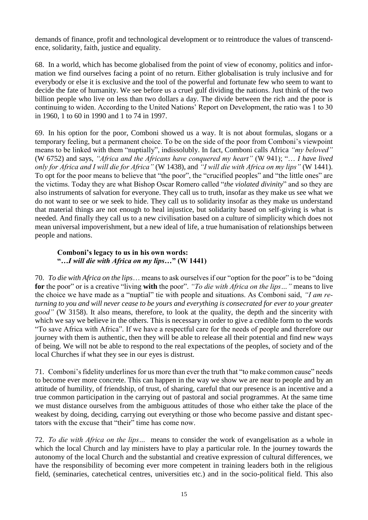demands of finance, profit and technological development or to reintroduce the values of transcendence, solidarity, faith, justice and equality.

68. In a world, which has become globalised from the point of view of economy, politics and information we find ourselves facing a point of no return. Either globalisation is truly inclusive and for everybody or else it is exclusive and the tool of the powerful and fortunate few who seem to want to decide the fate of humanity. We see before us a cruel gulf dividing the nations. Just think of the two billion people who live on less than two dollars a day. The divide between the rich and the poor is continuing to widen. According to the United Nations' Report on Development, the ratio was 1 to 30 in 1960, 1 to 60 in 1990 and 1 to 74 in 1997.

69. In his option for the poor, Comboni showed us a way. It is not about formulas, slogans or a temporary feeling, but a permanent choice. To be on the side of the poor from Comboni's viewpoint means to be linked with them "nuptially", indissolubly. In fact, Comboni calls Africa *"my beloved"* (W 6752) and says, *"Africa and the Africans have conquered my heart"* (W 941); "… *I have lived only for Africa and I will die for Africa"* (W 1438), and *"I will die with Africa on my lips"* (W 1441). To opt for the poor means to believe that "the poor", the "crucified peoples" and "the little ones" are the victims. Today they are what Bishop Oscar Romero called "*the violated divinity*" and so they are also instruments of salvation for everyone. They call us to truth, insofar as they make us see what we do not want to see or we seek to hide. They call us to solidarity insofar as they make us understand that material things are not enough to heal injustice, but solidarity based on self-giving is what is needed. And finally they call us to a new civilisation based on a culture of simplicity which does not mean universal impoverishment, but a new ideal of life, a true humanisation of relationships between people and nations.

### **Comboni's legacy to us in his own words: "***…I will die with Africa on my lips…***" (W 1441)**

70. *To die with Africa on the lips*… means to ask ourselves if our "option for the poor" is to be "doing **for** the poor" or is a creative "living **with** the poor". *"To die with Africa on the lips…"* means to live the choice we have made as a "nuptial" tie with people and situations. As Comboni said, *"I am returning to you and will never cease to be yours and everything is consecrated for ever to your greater good"* (W 3158). It also means, therefore, to look at the quality, the depth and the sincerity with which we say we believe in the others. This is necessary in order to give a credible form to the words "To save Africa with Africa". If we have a respectful care for the needs of people and therefore our journey with them is authentic, then they will be able to release all their potential and find new ways of being. We will not be able to respond to the real expectations of the peoples, of society and of the local Churches if what they see in our eyes is distrust.

71. Comboni's fidelity underlines for us more than ever the truth that "to make common cause" needs to become ever more concrete. This can happen in the way we show we are near to people and by an attitude of humility, of friendship, of trust, of sharing, careful that our presence is an incentive and a true common participation in the carrying out of pastoral and social programmes. At the same time we must distance ourselves from the ambiguous attitudes of those who either take the place of the weakest by doing, deciding, carrying out everything or those who become passive and distant spectators with the excuse that "their" time has come now.

72. *To die with Africa on the lips…* means to consider the work of evangelisation as a whole in which the local Church and lay ministers have to play a particular role. In the journey towards the autonomy of the local Church and the substantial and creative expression of cultural differences, we have the responsibility of becoming ever more competent in training leaders both in the religious field, (seminaries, catechetical centres, universities etc.) and in the socio-political field. This also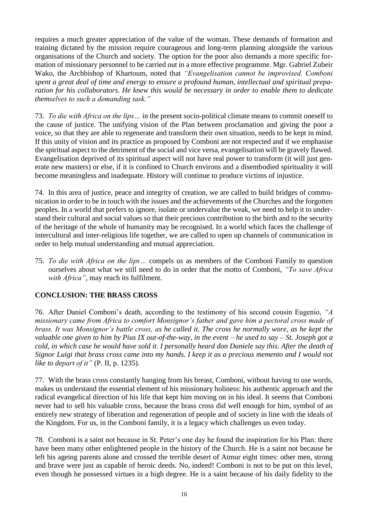requires a much greater appreciation of the value of the woman. These demands of formation and training dictated by the mission require courageous and long-term planning alongside the various organisations of the Church and society. The option for the poor also demands a more specific formation of missionary personnel to be carried out in a more effective programme. Mgr. Gabriel Zubeir Wako, the Archbishop of Khartoum, noted that *"Evangelisation cannot be improvised. Comboni spent a great deal of time and energy to ensure a profound human, intellectual and spiritual preparation for his collaborators. He knew this would be necessary in order to enable them to dedicate themselves to such a demanding task."*

73. *To die with Africa on the lips…* in the present socio-political climate means to commit oneself to the cause of justice. The unifying vision of the Plan between proclamation and giving the poor a voice, so that they are able to regenerate and transform their own situation, needs to be kept in mind. If this unity of vision and its practice as proposed by Comboni are not respected and if we emphasise the spiritual aspect to the detriment of the social and vice versa, evangelisation will be gravely flawed. Evangelisation deprived of its spiritual aspect will not have real power to transform (it will just generate new masters) or else, if it is confined to Church environs and a disembodied spirituality it will become meaningless and inadequate. History will continue to produce victims of injustice.

74. In this area of justice, peace and integrity of creation, we are called to build bridges of communication in order to be in touch with the issues and the achievements of the Churches and the forgotten peoples. In a world that prefers to ignore, isolate or undervalue the weak, we need to help it to understand their cultural and social values so that their precious contribution to the birth and to the security of the heritage of the whole of humanity may be recognised. In a world which faces the challenge of intercultural and inter-religious life together, we are called to open up channels of communication in order to help mutual understanding and mutual appreciation.

75. *To die with Africa on the lips…* compels us as members of the Comboni Family to question ourselves about what we still need to do in order that the motto of Comboni, *"To save Africa with Africa"*, may reach its fulfilment.

## **CONCLUSION: THE BRASS CROSS**

76. After Daniel Comboni's death, according to the testimony of his second cousin Eugenio, *"A missionary came from Africa to comfort Monsignor's father and gave him a pectoral cross made of brass. It was Monsignor's battle cross, as he called it. The cross he normally wore, as he kept the valuable one given to him by Pius IX out-of-the-way, in the event – he used to say – St. Joseph got a cold, in which case he would have sold it. I personally heard don Daniele say this. After the death of Signor Luigi that brass cross came into my hands. I keep it as a precious memento and I would not like to depart of it"* (P. II, p. 1235).

77. With the brass cross constantly hanging from his breast, Comboni, without having to use words, makes us understand the essential element of his missionary holiness: his authentic approach and the radical evangelical direction of his life that kept him moving on in his ideal. It seems that Comboni never had to sell his valuable cross, because the brass cross did well enough for him, symbol of an entirely new strategy of liberation and regeneration of people and of society in line with the ideals of the Kingdom. For us, in the Comboni family, it is a legacy which challenges us even today.

78. Comboni is a saint not because in St. Peter's one day he found the inspiration for his Plan: there have been many other enlightened people in the history of the Church. He is a saint not because he left his ageing parents alone and crossed the terrible desert of Atmur eight times: other men, strong and brave were just as capable of heroic deeds. No, indeed! Comboni is not to be put on this level, even though he possessed virtues in a high degree. He is a saint because of his daily fidelity to the